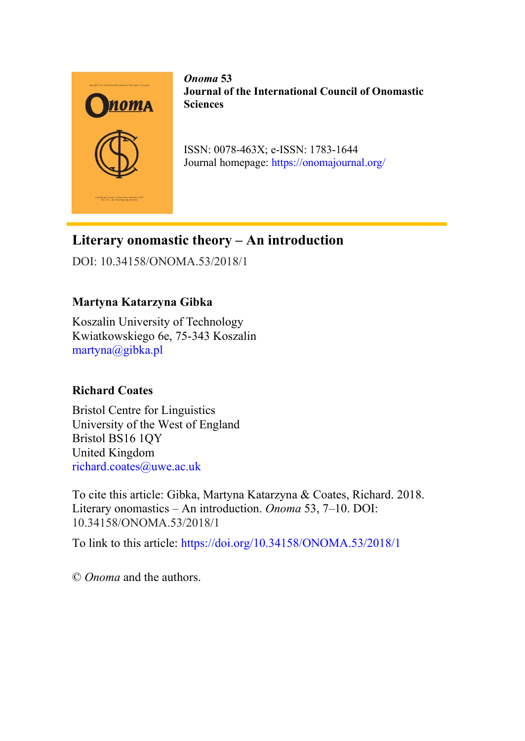

*Onoma* **53 Journal of the International Council of Onomastic Sciences**

ISSN: 0078-463X; e-ISSN: 1783-1644 Journal homepage:<https://onomajournal.org/>

# **Literary onomastic theory – An introduction**

DOI: 10.34158/ONOMA.53/2018/1

# **Martyna Katarzyna Gibka**

Koszalin University of Technology Kwiatkowskiego 6e, 75-343 Koszalin [martyna@gibka.pl](mailto:martyna@gibka.pl)

## **Richard Coates**

Bristol Centre for Linguistics University of the West of England Bristol BS16 1QY United Kingdom [richard.coates@uwe.ac.uk](mailto:richard.coates@uwe.ac.uk)

To cite this article: Gibka, Martyna Katarzyna & Coates, Richard. 2018. Literary onomastics – An introduction. *Onoma* 53, 7–10. DOI: 10.34158/ONOMA.53/2018/1

To link to this article:<https://doi.org/10.34158/ONOMA.53/2018/1>

© *Onoma* and the authors.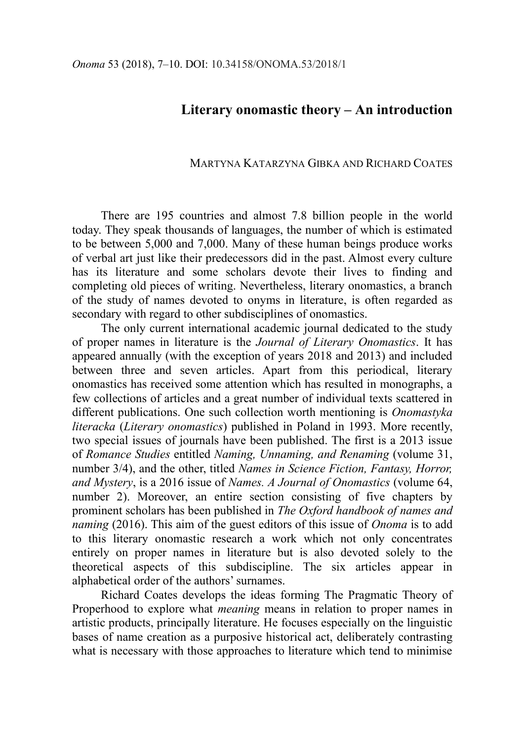### **Literary onomastic theory – An introduction**

#### MARTYNA KATARZYNA GIBKA AND RICHARD COATES

There are 195 countries and almost 7.8 billion people in the world today. They speak thousands of languages, the number of which is estimated to be between 5,000 and 7,000. Many of these human beings produce works of verbal art just like their predecessors did in the past. Almost every culture has its literature and some scholars devote their lives to finding and completing old pieces of writing. Nevertheless, literary onomastics, a branch of the study of names devoted to onyms in literature, is often regarded as secondary with regard to other subdisciplines of onomastics.

The only current international academic journal dedicated to the study of proper names in literature is the *Journal of Literary Onomastics*. It has appeared annually (with the exception of years 2018 and 2013) and included between three and seven articles. Apart from this periodical, literary onomastics has received some attention which has resulted in monographs, a few collections of articles and a great number of individual texts scattered in different publications. One such collection worth mentioning is *Onomastyka literacka* (*Literary onomastics*) published in Poland in 1993. More recently, two special issues of journals have been published. The first is a 2013 issue of *Romance Studies* entitled *Naming, Unnaming, and Renaming* (volume 31, number 3/4), and the other, titled *Names in Science Fiction, Fantasy, Horror, and Mystery*, is a 2016 issue of *Names. A Journal of Onomastics* (volume 64, number 2). Moreover, an entire section consisting of five chapters by prominent scholars has been published in *The Oxford handbook of names and naming* (2016). This aim of the guest editors of this issue of *Onoma* is to add to this literary onomastic research a work which not only concentrates entirely on proper names in literature but is also devoted solely to the theoretical aspects of this subdiscipline. The six articles appear in alphabetical order of the authors' surnames.

Richard Coates develops the ideas forming The Pragmatic Theory of Properhood to explore what *meaning* means in relation to proper names in artistic products, principally literature. He focuses especially on the linguistic bases of name creation as a purposive historical act, deliberately contrasting what is necessary with those approaches to literature which tend to minimise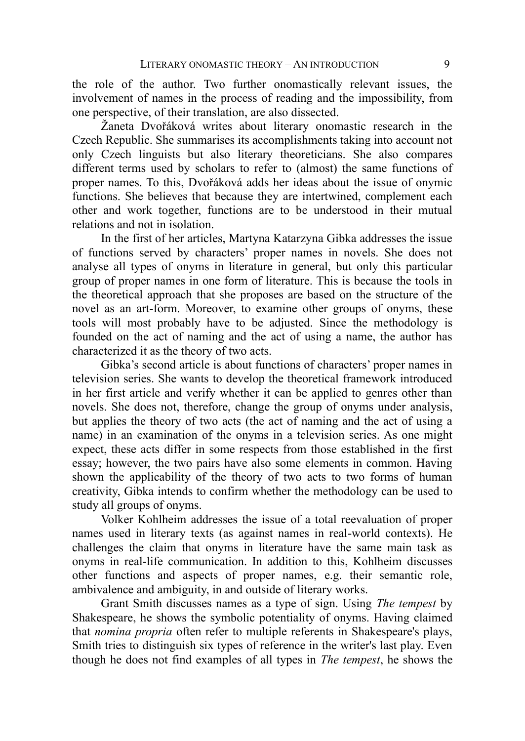the role of the author. Two further onomastically relevant issues, the involvement of names in the process of reading and the impossibility, from one perspective, of their translation, are also dissected.

Žaneta Dvořáková writes about literary onomastic research in the Czech Republic. She summarises its accomplishments taking into account not only Czech linguists but also literary theoreticians. She also compares different terms used by scholars to refer to (almost) the same functions of proper names. To this, Dvořáková adds her ideas about the issue of onymic functions. She believes that because they are intertwined, complement each other and work together, functions are to be understood in their mutual relations and not in isolation.

In the first of her articles, Martyna Katarzyna Gibka addresses the issue of functions served by characters' proper names in novels. She does not analyse all types of onyms in literature in general, but only this particular group of proper names in one form of literature. This is because the tools in the theoretical approach that she proposes are based on the structure of the novel as an art-form. Moreover, to examine other groups of onyms, these tools will most probably have to be adjusted. Since the methodology is founded on the act of naming and the act of using a name, the author has characterized it as the theory of two acts.

Gibka's second article is about functions of characters' proper names in television series. She wants to develop the theoretical framework introduced in her first article and verify whether it can be applied to genres other than novels. She does not, therefore, change the group of onyms under analysis, but applies the theory of two acts (the act of naming and the act of using a name) in an examination of the onyms in a television series. As one might expect, these acts differ in some respects from those established in the first essay; however, the two pairs have also some elements in common. Having shown the applicability of the theory of two acts to two forms of human creativity, Gibka intends to confirm whether the methodology can be used to study all groups of onyms.

Volker Kohlheim addresses the issue of a total reevaluation of proper names used in literary texts (as against names in real-world contexts). He challenges the claim that onyms in literature have the same main task as onyms in real-life communication. In addition to this, Kohlheim discusses other functions and aspects of proper names, e.g. their semantic role, ambivalence and ambiguity, in and outside of literary works.

Grant Smith discusses names as a type of sign. Using *The tempest* by Shakespeare, he shows the symbolic potentiality of onyms. Having claimed that *nomina propria* often refer to multiple referents in Shakespeare's plays, Smith tries to distinguish six types of reference in the writer's last play. Even though he does not find examples of all types in *The tempest*, he shows the